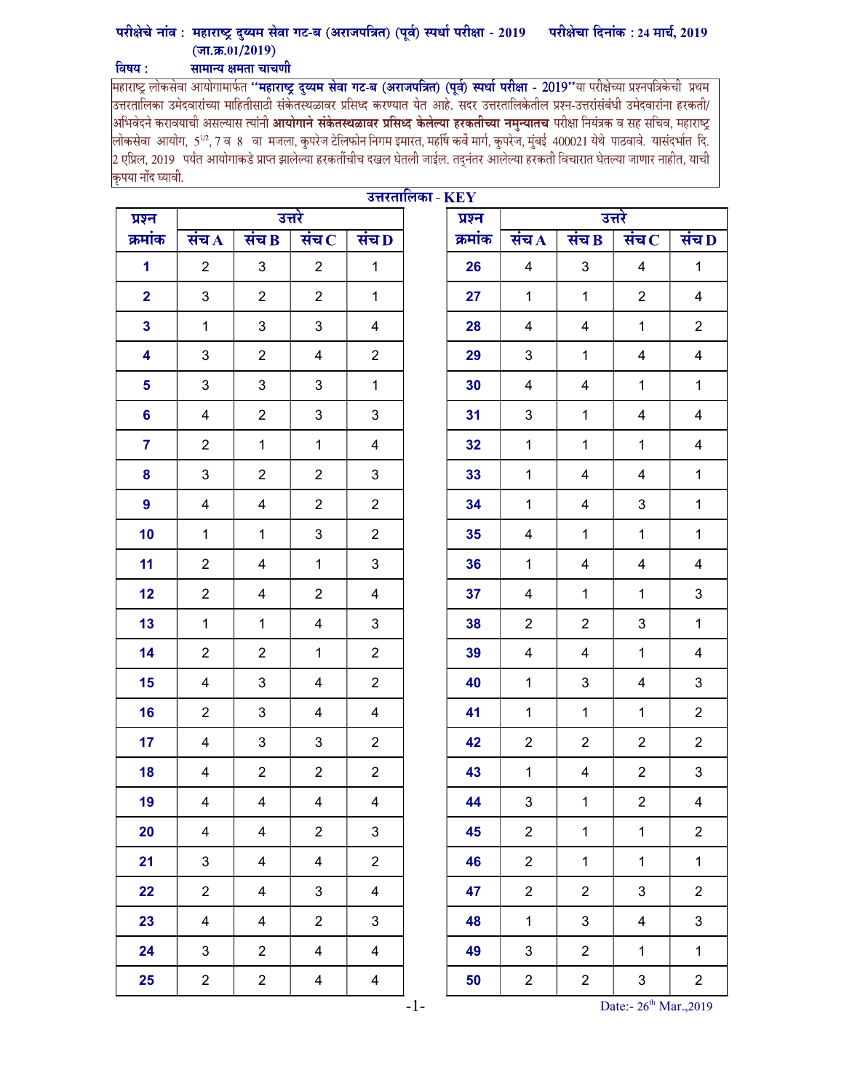## परीक्षेचे नांव: महाराष्ट्र दुय्यम सेवा गट-ब (अराजपत्रित) (पूर्व) स्पर्धा परीक्षा - 2019 परीक्षेचा दिनांक: 24 मार्च, 2019 (जा.क्र.01/2019)

विषय: सामान्य क्षमता चाचणी

<mark>महाराष्ट्र लोकसेवा आयोगामार्फत **''महाराष्ट्र दुय्यम सेवा गट-ब (अराजपत्रित) (पूर्व) स्पर्धा परीक्षा - 2019''**या परीक्षेच्या प्रश्नपत्रिकेची प्रथम<br>उत्तरतालिका उमेदवारांच्या माहितीसाठी संकेतस्थळावर प्रसिध्द करण्यात येत आहे</mark> अभिवेदने करावयाची असल्यास त्यांनी **आयोगाने संकेतस्थळावर प्रसिध्द केलेल्या हरकतीच्या नमुन्यातच** परीक्षा नियंत्रक व सह सचिव, महाराष्ट्र लोकसेवा आयोग, 5½, 7 व 8 वा मजला, कुपरेज टेलिफोन निगम इमारत, महर्षि कर्वे मार्ग, कुपरेज, मुंबई 400021 येथे पाठवावे. यासंदर्भात दि.  $\rm{2}$  एप्रिल, 2019 पर्यंत आयोगाकडे प्राप्त झालेल्या हरकतींचीच दखल घेतली जाईल. तदुनंतर आलेल्या हरकती विचारात घेतल्या जाणार नाहीत, याची कृपया नोंद घ्यावी.

| उत्तरताालका - $\mathbf{KEY}$ |                |                         |                             |                |  |         |                    |                |                           |                          |  |
|------------------------------|----------------|-------------------------|-----------------------------|----------------|--|---------|--------------------|----------------|---------------------------|--------------------------|--|
| प्रश्न                       | उत्तरे         |                         |                             |                |  | प्रश्न  | उत्तरे             |                |                           |                          |  |
| क्रमांक                      | संच $\bf{A}$   | संच $\bf{B}$            | संच $\overline{\mathbf{C}}$ | संच $\bf D$    |  | क्रमांक | संच $\overline{A}$ | संच $B$        | संच $C$                   | संच D                    |  |
| $\overline{1}$               | $\overline{2}$ | 3                       | $2^{\circ}$                 | $\mathbf{1}$   |  | 26      | $\overline{4}$     | $\mathbf{3}$   | $\overline{4}$            | $\mathbf{1}$             |  |
| $\overline{2}$               | 3              | $\overline{2}$          | $\overline{2}$              | $\mathbf{1}$   |  | 27      | $\mathbf{1}$       | $\mathbf{1}$   | $\overline{2}$            | 4                        |  |
| $\overline{\mathbf{3}}$      | $\mathbf{1}$   | $\mathbf{3}$            | 3                           | $\overline{4}$ |  | 28      | $\overline{4}$     | 4              | $\mathbf{1}$              | $\overline{2}$           |  |
| 4                            | 3              | $\overline{2}$          | 4                           | $\overline{2}$ |  | 29      | 3                  | $\mathbf{1}$   | $\overline{4}$            | $\overline{4}$           |  |
| 5                            | 3              | $\mathfrak{S}$          | 3                           | $\mathbf{1}$   |  | 30      | 4                  | 4              | $\mathbf{1}$              | $\mathbf{1}$             |  |
| $6\phantom{a}$               | 4              | $\overline{2}$          | 3                           | 3              |  | 31      | 3                  | $\mathbf 1$    | 4                         | $\overline{\mathbf{4}}$  |  |
| $\overline{7}$               | $2^{\circ}$    | $\mathbf{1}$            | $\mathbf{1}$                | 4              |  | 32      | $\mathbf{1}$       | $\mathbf 1$    | $\mathbf{1}$              | 4                        |  |
| 8                            | 3              | $\overline{2}$          | $\overline{2}$              | 3              |  | 33      | $\mathbf{1}$       | 4              | $\overline{4}$            | $\mathbf{1}$             |  |
| 9                            | $\overline{4}$ | $\overline{4}$          | $\overline{2}$              | $\overline{2}$ |  | 34      | $\mathbf{1}$       | 4              | 3                         | $\mathbf{1}$             |  |
| 10                           | $\mathbf{1}$   | $\mathbf{1}$            | 3                           | $\overline{2}$ |  | 35      | 4                  | $\mathbf 1$    | $\mathbf{1}$              | $\mathbf{1}$             |  |
| 11                           | $\overline{2}$ | 4                       | $\mathbf{1}$                | 3              |  | 36      | $\mathbf 1$        | 4              | 4                         | $\overline{\mathbf{4}}$  |  |
| 12                           | $2^{\circ}$    | 4                       | $2^{\circ}$                 | 4              |  | 37      | 4                  | $\mathbf 1$    | $\mathbf{1}$              | $\sqrt{3}$               |  |
| 13                           | $\mathbf{1}$   | $\mathbf{1}$            | $\overline{4}$              | 3              |  | 38      | $\overline{2}$     | $\overline{2}$ | 3                         | $\mathbf{1}$             |  |
| 14                           | $\overline{2}$ | $\overline{2}$          | $\mathbf{1}$                | $\overline{2}$ |  | 39      | 4                  | 4              | $\mathbf{1}$              | $\overline{\mathcal{A}}$ |  |
| 15                           | 4              | 3                       | 4                           | $\overline{2}$ |  | 40      | $\mathbf 1$        | 3              | 4                         | $\mathbf{3}$             |  |
| 16                           | $\overline{2}$ | 3                       | 4                           | 4              |  | 41      | $\mathbf 1$        | $\mathbf 1$    | $\mathbf{1}$              | $\boldsymbol{2}$         |  |
| 17                           | 4              | 3                       | 3                           | $\overline{2}$ |  | 42      | $\overline{2}$     | $\overline{2}$ | $\overline{2}$            | $\overline{2}$           |  |
| 18                           | $\overline{4}$ | $\overline{2}$          | $\overline{2}$              | $\overline{2}$ |  | 43      | $\mathbf{1}$       | 4              | $\overline{2}$            | $\mathfrak{S}$           |  |
| 19                           | $\overline{4}$ | $\overline{\mathbf{4}}$ | $\overline{4}$              | 4              |  | 44      | 3                  | $\mathbf 1$    | $\overline{2}$            | $\overline{4}$           |  |
| 20                           | $\overline{4}$ | $\overline{4}$          | $\overline{2}$              | $\mathbf{3}$   |  | 45      | $\overline{2}$     | $\mathbf{1}$   | $\mathbf{1}$              | $\overline{2}$           |  |
| 21                           | 3              | $\overline{4}$          | $\overline{4}$              | $\overline{2}$ |  | 46      | $\overline{2}$     | $\mathbf{1}$   | $\mathbf{1}$              | $\mathbf{1}$             |  |
| 22                           | $\overline{2}$ | $\overline{4}$          | $\mathbf{3}$                | 4              |  | 47      | $\overline{2}$     | $\overline{2}$ | $\mathfrak{S}$            | $\overline{2}$           |  |
| 23                           | $\overline{4}$ | $\overline{4}$          | $\overline{2}$              | $\mathbf{3}$   |  | 48      | $\mathbf{1}$       | $\mathbf{3}$   | $\overline{4}$            | $\mathfrak{S}$           |  |
| 24                           | 3              | $\overline{2}$          | $\overline{4}$              | 4              |  | 49      | $\mathbf{3}$       | $\overline{2}$ | $\mathbf{1}$              | $\mathbf{1}$             |  |
| 25                           | $\overline{2}$ | $\overline{2}$          | 4                           | 4              |  | 50      | $\overline{2}$     | $\overline{c}$ | $\ensuremath{\mathsf{3}}$ | $\overline{c}$           |  |

-1- Date: - 26<sup>th</sup> Mar.,2019